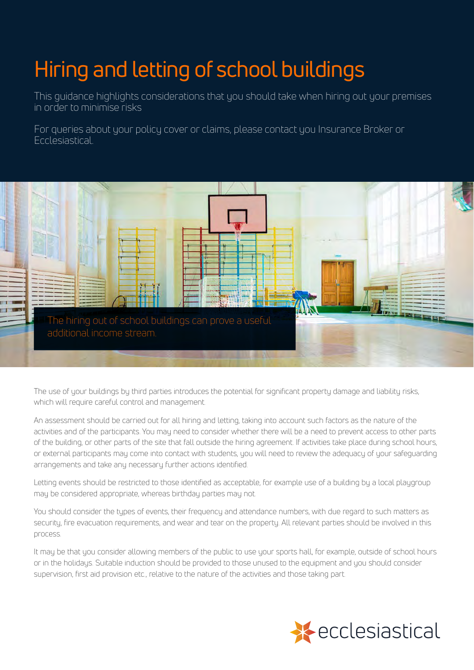## Hiring and letting of school buildings

This guidance highlights considerations that you should take when hiring out your premises in order to minimise risks

For queries about your policy cover or claims, please contact you Insurance Broker or Ecclesiastical.



The use of your buildings by third parties introduces the potential for significant property damage and liability risks, which will require careful control and management.

An assessment should be carried out for all hiring and letting, taking into account such factors as the nature of the activities and of the participants. You may need to consider whether there will be a need to prevent access to other parts of the building, or other parts of the site that fall outside the hiring agreement. If activities take place during school hours, or external participants may come into contact with students, you will need to review the adequacy of your safeguarding arrangements and take any necessary further actions identified.

may be considered appropriate, whereas birthday parties may not. Letting events should be restricted to those identified as acceptable, for example use of a building by a local playgroup

You should consider the tupes of events, their frequency and attendance numbers, with due regard to such matters as security, fire evacuation requirements, and wear and tear on the property. All relevant parties should be involved in this process.

It may be that you consider allowing members of the public to use your sports hall, for example, outside of school hours or in the holidays. Suitable induction should be provided to those unused to the equipment and you should consider supervision, first aid provision etc., relative to the nature of the activities and those taking part.